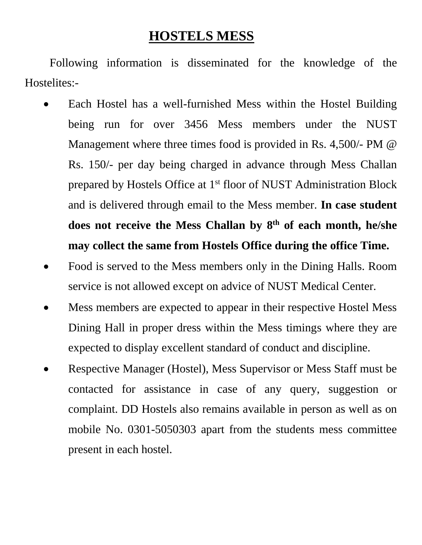## **HOSTELS MESS**

Following information is disseminated for the knowledge of the Hostelites:-

- Each Hostel has a well-furnished Mess within the Hostel Building being run for over 3456 Mess members under the NUST Management where three times food is provided in Rs. 4,500/- PM @ Rs. 150/- per day being charged in advance through Mess Challan prepared by Hostels Office at 1<sup>st</sup> floor of NUST Administration Block and is delivered through email to the Mess member. **In case student does not receive the Mess Challan by 8th of each month, he/she may collect the same from Hostels Office during the office Time.**
- Food is served to the Mess members only in the Dining Halls. Room service is not allowed except on advice of NUST Medical Center.
- Mess members are expected to appear in their respective Hostel Mess Dining Hall in proper dress within the Mess timings where they are expected to display excellent standard of conduct and discipline.
- Respective Manager (Hostel), Mess Supervisor or Mess Staff must be contacted for assistance in case of any query, suggestion or complaint. DD Hostels also remains available in person as well as on mobile No. 0301-5050303 apart from the students mess committee present in each hostel.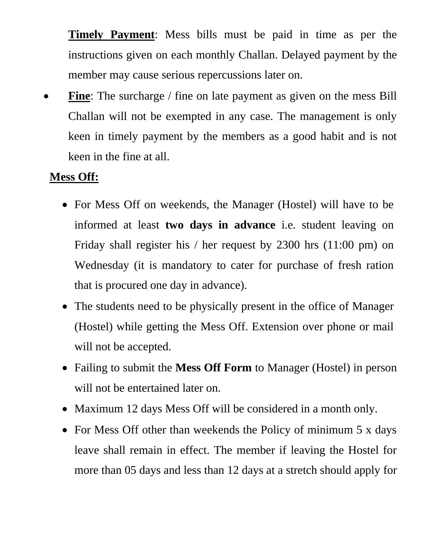**Timely Payment**: Mess bills must be paid in time as per the instructions given on each monthly Challan. Delayed payment by the member may cause serious repercussions later on.

Fine: The surcharge / fine on late payment as given on the mess Bill Challan will not be exempted in any case. The management is only keen in timely payment by the members as a good habit and is not keen in the fine at all.

## **Mess Off:**

- For Mess Off on weekends, the Manager (Hostel) will have to be informed at least **two days in advance** i.e. student leaving on Friday shall register his / her request by 2300 hrs (11:00 pm) on Wednesday (it is mandatory to cater for purchase of fresh ration that is procured one day in advance).
- The students need to be physically present in the office of Manager (Hostel) while getting the Mess Off. Extension over phone or mail will not be accepted.
- Failing to submit the **Mess Off Form** to Manager (Hostel) in person will not be entertained later on.
- Maximum 12 days Mess Off will be considered in a month only.
- For Mess Off other than weekends the Policy of minimum 5 x days leave shall remain in effect. The member if leaving the Hostel for more than 05 days and less than 12 days at a stretch should apply for